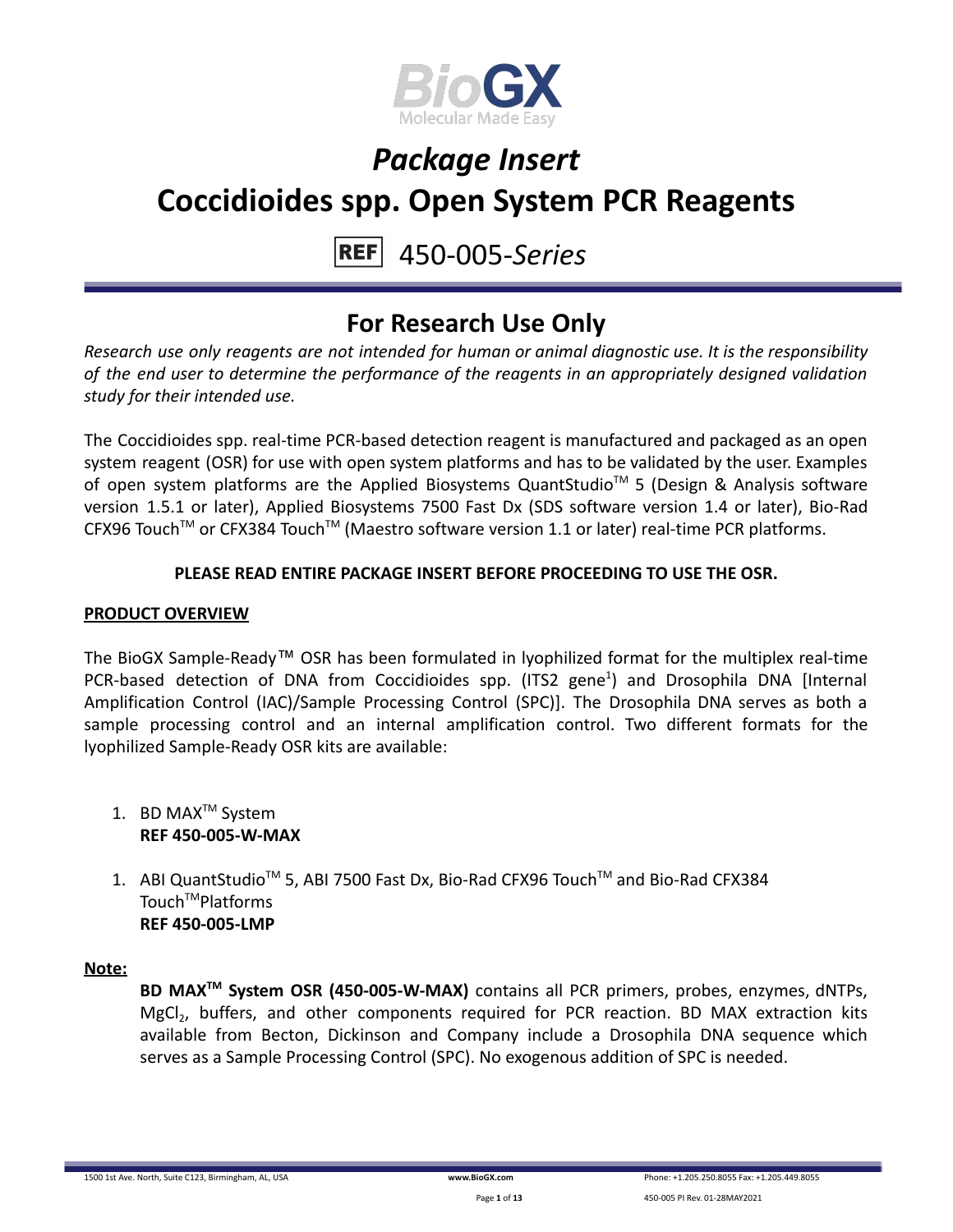

## 450-005-*Series*

## **For Research Use Only**

*Research use only reagents are not intended for human or animal diagnostic use. It is the responsibility of the end user to determine the performance of the reagents in an appropriately designed validation study for their intended use.*

The Coccidioides spp. real-time PCR-based detection reagent is manufactured and packaged as an open system reagent (OSR) for use with open system platforms and has to be validated by the user. Examples of open system platforms are the Applied Biosystems QuantStudio<sup>™</sup> 5 (Design & Analysis software version 1.5.1 or later), Applied Biosystems 7500 Fast Dx (SDS software version 1.4 or later), Bio-Rad CFX96 Touch<sup>™</sup> or CFX384 Touch<sup>™</sup> (Maestro software version 1.1 or later) real-time PCR platforms.

### **PLEASE READ ENTIRE PACKAGE INSERT BEFORE PROCEEDING TO USE THE OSR.**

### **PRODUCT OVERVIEW**

The BioGX Sample-Ready™ OSR has been formulated in lyophilized format for the multiplex real-time PCR-based detection of DNA from Coccidioides spp. (ITS2 gene<sup>1</sup>) and Drosophila DNA [Internal Amplification Control (IAC)/Sample Processing Control (SPC)]. The Drosophila DNA serves as both a sample processing control and an internal amplification control. Two different formats for the lyophilized Sample-Ready OSR kits are available:

- 1. BD MAX<sup>™</sup> System **REF 450-005-W-MAX**
- 1. ABI QuantStudio<sup>™</sup> 5, ABI 7500 Fast Dx, Bio-Rad CFX96 Touch™ and Bio-Rad CFX384 Touch<sup>™</sup>Platforms **REF 450-005-LMP**

### **Note:**

**BD MAXTM System OSR (450-005-W-MAX)** contains all PCR primers, probes, enzymes, dNTPs, MgCl<sub>2</sub>, buffers, and other components required for PCR reaction. BD MAX extraction kits available from Becton, Dickinson and Company include a Drosophila DNA sequence which serves as a Sample Processing Control (SPC). No exogenous addition of SPC is needed.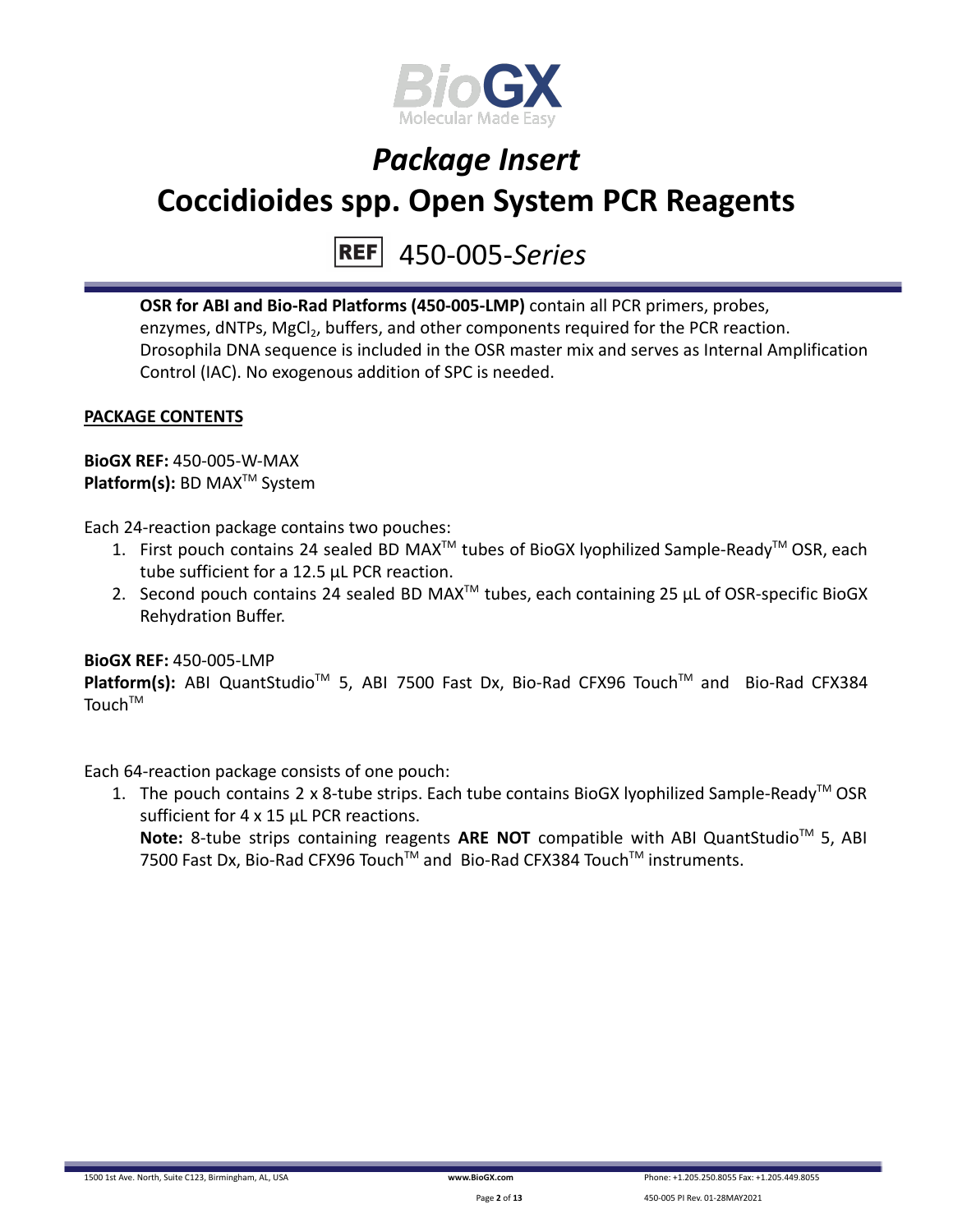

#### 450-005-*Series* **REF**

**OSR for ABI and Bio-Rad Platforms (450-005-LMP)** contain all PCR primers, probes, enzymes, dNTPs, MgCl<sub>2</sub>, buffers, and other components required for the PCR reaction. Drosophila DNA sequence is included in the OSR master mix and serves as Internal Amplification Control (IAC). No exogenous addition of SPC is needed.

## **PACKAGE CONTENTS**

**BioGX REF:** 450-005-W-MAX **Platform(s):** BD MAX<sup>™</sup> System

Each 24-reaction package contains two pouches:

- 1. First pouch contains 24 sealed BD MAX<sup>™</sup> tubes of BioGX lyophilized Sample-Ready<sup>™</sup> OSR, each tube sufficient for a 12.5 µL PCR reaction.
- 2. Second pouch contains 24 sealed BD MAX<sup>™</sup> tubes, each containing 25  $\mu$ L of OSR-specific BioGX Rehydration Buffer.

### **BioGX REF:** 450-005-LMP

Platform(s): ABI QuantStudio<sup>™</sup> 5, ABI 7500 Fast Dx, Bio-Rad CFX96 Touch<sup>™</sup> and Bio-Rad CFX384  $T$ Ouch<sup>TM</sup>

Each 64-reaction package consists of one pouch:

1. The pouch contains 2 x 8-tube strips. Each tube contains BioGX lyophilized Sample-Ready<sup>™</sup> OSR sufficient for 4 x 15 uL PCR reactions. Note: 8-tube strips containing reagents ARE NOT compatible with ABI QuantStudio<sup>™</sup> 5, ABI 7500 Fast Dx, Bio-Rad CFX96 Touch™ and Bio-Rad CFX384 Touch™ instruments.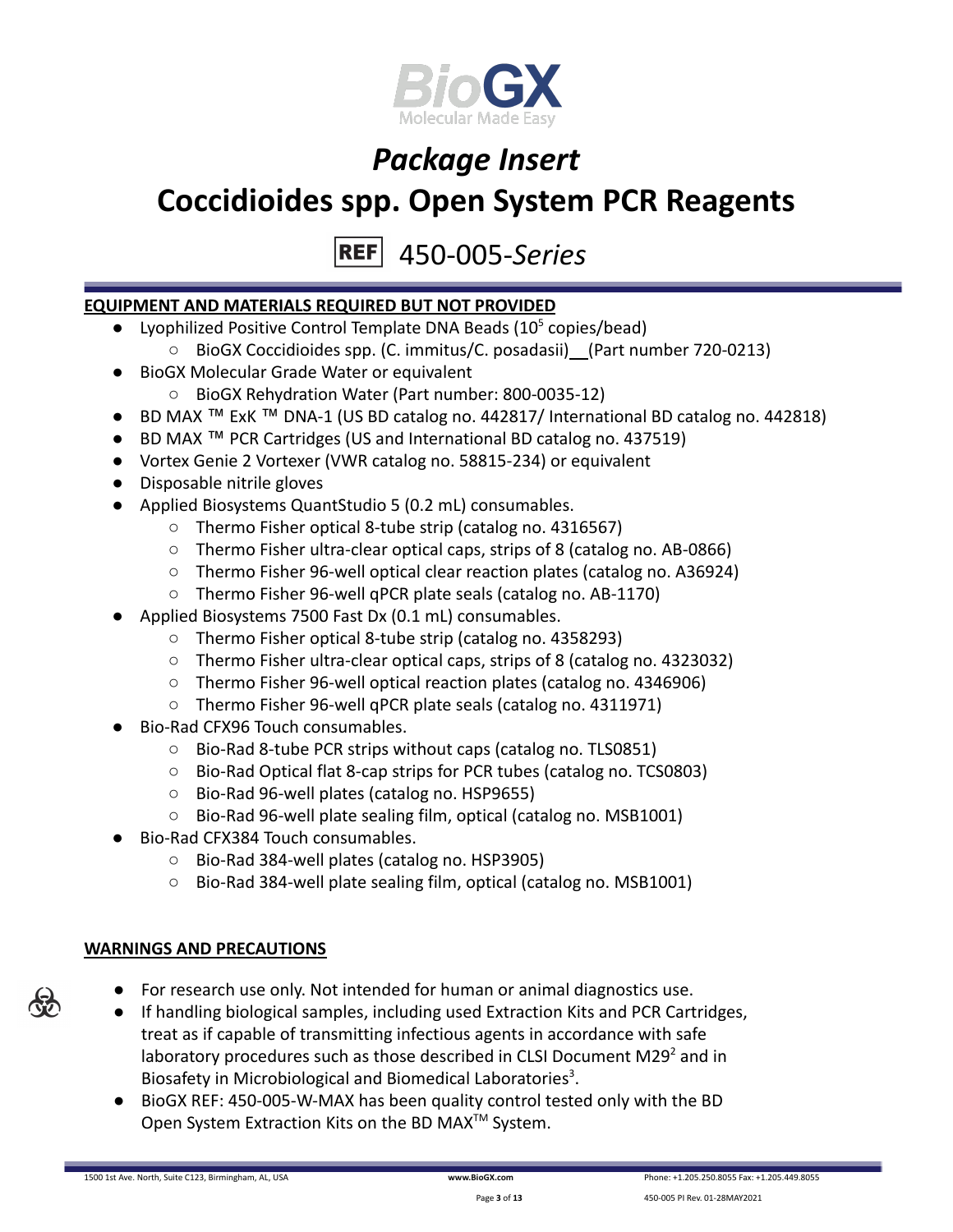

450-005-*Series*

### **EQUIPMENT AND MATERIALS REQUIRED BUT NOT PROVIDED**

- Lyophilized Positive Control Template DNA Beads  $(10^5 \text{ copies/head})$ 
	- BioGX Coccidioides spp. (C. immitus/C. posadasii) (Part number 720-0213)
- BioGX Molecular Grade Water or equivalent
	- BioGX Rehydration Water (Part number: 800-0035-12)
- BD MAX ™ ExK ™ DNA-1 (US BD catalog no. 442817/ International BD catalog no. 442818)
- BD MAX ™ PCR Cartridges (US and International BD catalog no. 437519)
- Vortex Genie 2 Vortexer (VWR catalog no. 58815-234) or equivalent
- Disposable nitrile gloves
- Applied Biosystems QuantStudio 5 (0.2 mL) consumables.
	- Thermo Fisher optical 8-tube strip (catalog no. 4316567)
	- Thermo Fisher ultra-clear optical caps, strips of 8 (catalog no. AB-0866)
	- Thermo Fisher 96-well optical clear reaction plates (catalog no. A36924)
	- Thermo Fisher 96-well qPCR plate seals (catalog no. AB-1170)
- Applied Biosystems 7500 Fast Dx (0.1 mL) consumables.
	- Thermo Fisher optical 8-tube strip (catalog no. 4358293)
	- Thermo Fisher ultra-clear optical caps, strips of 8 (catalog no. 4323032)
	- Thermo Fisher 96-well optical reaction plates (catalog no. 4346906)
	- Thermo Fisher 96-well qPCR plate seals (catalog no. 4311971)
- Bio-Rad CFX96 Touch consumables.
	- Bio-Rad 8-tube PCR strips without caps (catalog no. TLS0851)
	- Bio-Rad Optical flat 8-cap strips for PCR tubes (catalog no. TCS0803)
	- Bio-Rad 96-well plates (catalog no. HSP9655)
	- Bio-Rad 96-well plate sealing film, optical (catalog no. MSB1001)
- Bio-Rad CFX384 Touch consumables.
	- Bio-Rad 384-well plates (catalog no. HSP3905)
	- Bio-Rad 384-well plate sealing film, optical (catalog no. MSB1001)

### **WARNINGS AND PRECAUTIONS**

- For research use only. Not intended for human or animal diagnostics use.
- If handling biological samples, including used Extraction Kits and PCR Cartridges, treat as if capable of transmitting infectious agents in accordance with safe laboratory procedures such as those described in CLSI Document M29 $2$  and in Biosafety in Microbiological and Biomedical Laboratories<sup>3</sup>.
- BioGX REF: 450-005-W-MAX has been quality control tested only with the BD Open System Extraction Kits on the BD MAX<sup>™</sup> System.

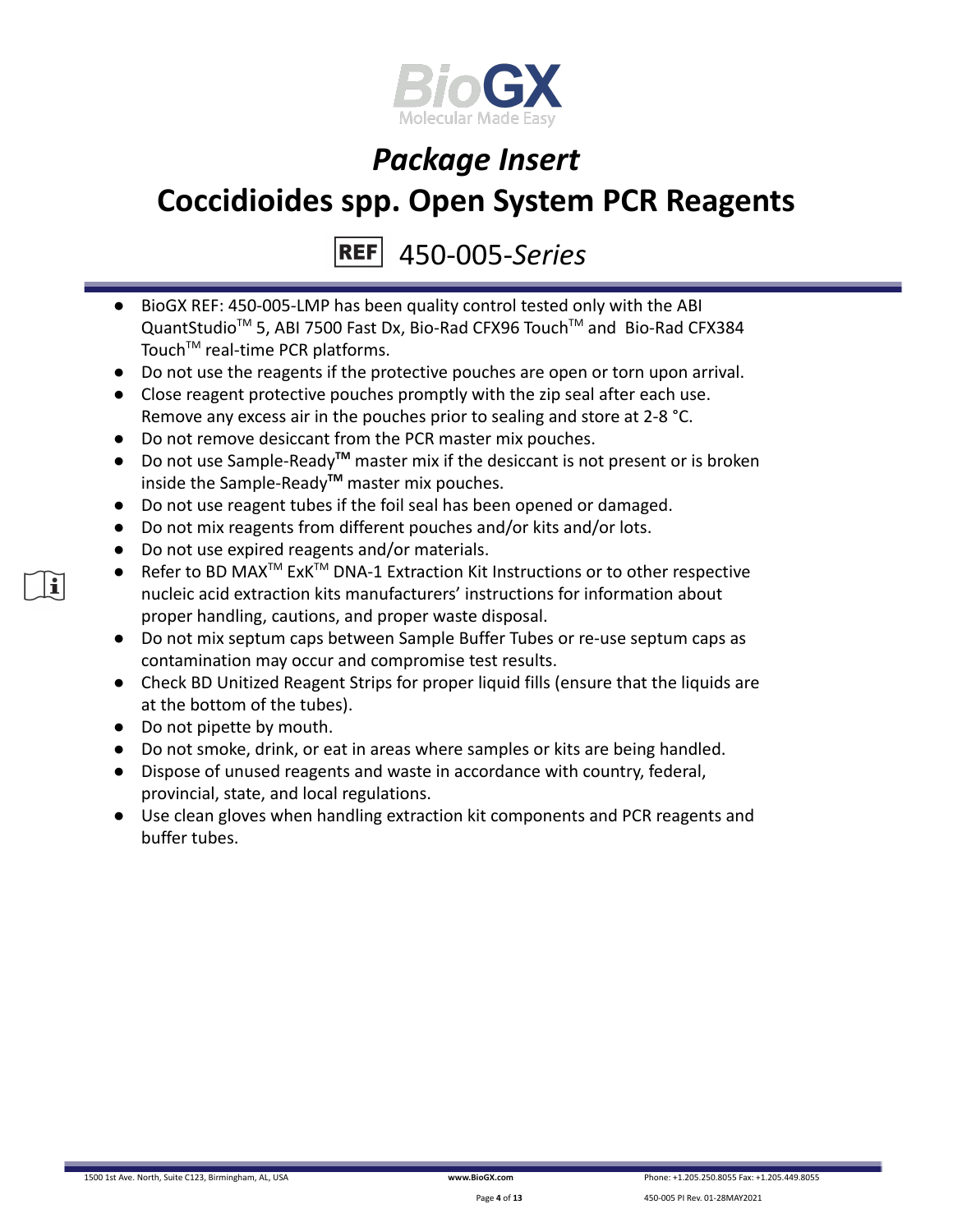

450-005-*Series*

- BioGX REF: 450-005-LMP has been quality control tested only with the ABI QuantStudio<sup>™</sup> 5, ABI 7500 Fast Dx, Bio-Rad CFX96 Touch™ and Bio-Rad CFX384 Touch<sup>™</sup> real-time PCR platforms.
- Do not use the reagents if the protective pouches are open or torn upon arrival.
- Close reagent protective pouches promptly with the zip seal after each use. Remove any excess air in the pouches prior to sealing and store at 2-8 °C.
- Do not remove desiccant from the PCR master mix pouches.
- Do not use Sample-Ready**TM** master mix if the desiccant is not present or is broken inside the Sample-Ready**TM** master mix pouches.
- Do not use reagent tubes if the foil seal has been opened or damaged.
- Do not mix reagents from different pouches and/or kits and/or lots.
- Do not use expired reagents and/or materials.
- Refer to BD MAX<sup>™</sup> ExK<sup>™</sup> DNA-1 Extraction Kit Instructions or to other respective nucleic acid extraction kits manufacturers' instructions for information about proper handling, cautions, and proper waste disposal.
- Do not mix septum caps between Sample Buffer Tubes or re-use septum caps as contamination may occur and compromise test results.
- Check BD Unitized Reagent Strips for proper liquid fills (ensure that the liquids are at the bottom of the tubes).
- Do not pipette by mouth.
- Do not smoke, drink, or eat in areas where samples or kits are being handled.
- Dispose of unused reagents and waste in accordance with country, federal, provincial, state, and local regulations.
- Use clean gloves when handling extraction kit components and PCR reagents and buffer tubes.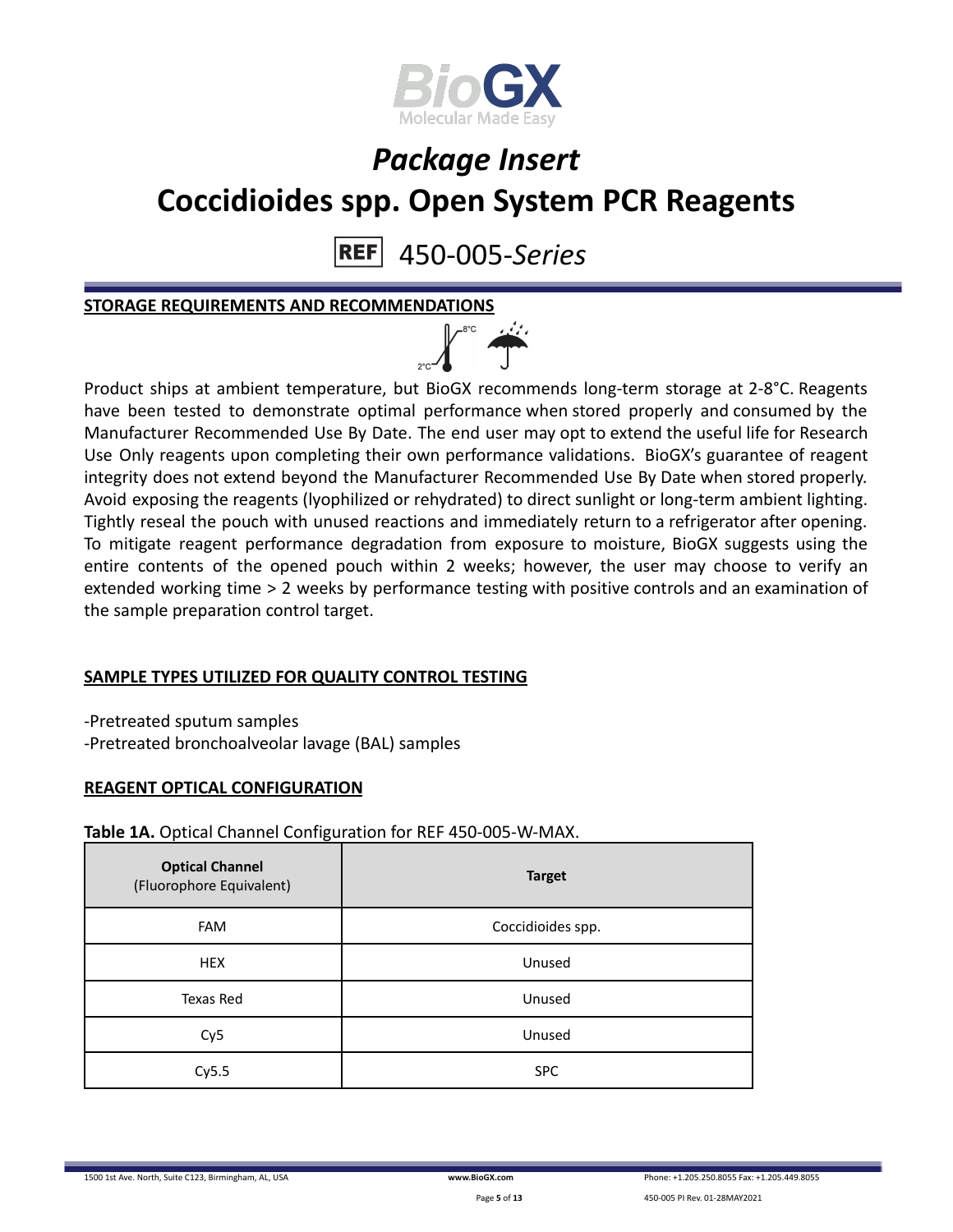

450-005-*Series* **REF** 

**STORAGE REQUIREMENTS AND RECOMMENDATIONS**



Product ships at ambient temperature, but BioGX recommends long-term storage at 2-8°C. Reagents have been tested to demonstrate optimal performance when stored properly and consumed by the Manufacturer Recommended Use By Date. The end user may opt to extend the useful life for Research Use Only reagents upon completing their own performance validations. BioGX's guarantee of reagent integrity does not extend beyond the Manufacturer Recommended Use By Date when stored properly. Avoid exposing the reagents (lyophilized or rehydrated) to direct sunlight or long-term ambient lighting. Tightly reseal the pouch with unused reactions and immediately return to a refrigerator after opening. To mitigate reagent performance degradation from exposure to moisture, BioGX suggests using the entire contents of the opened pouch within 2 weeks; however, the user may choose to verify an extended working time > 2 weeks by performance testing with positive controls and an examination of the sample preparation control target.

## **SAMPLE TYPES UTILIZED FOR QUALITY CONTROL TESTING**

-Pretreated sputum samples -Pretreated bronchoalveolar lavage (BAL) samples

### **REAGENT OPTICAL CONFIGURATION**

**Table 1A.** Optical Channel Configuration for REF 450-005-W-MAX.

| <b>Optical Channel</b><br>(Fluorophore Equivalent) | <b>Target</b>     |
|----------------------------------------------------|-------------------|
| <b>FAM</b>                                         | Coccidioides spp. |
| <b>HEX</b>                                         | Unused            |
| Texas Red                                          | Unused            |
| Cy <sub>5</sub>                                    | Unused            |
| Cy5.5                                              | <b>SPC</b>        |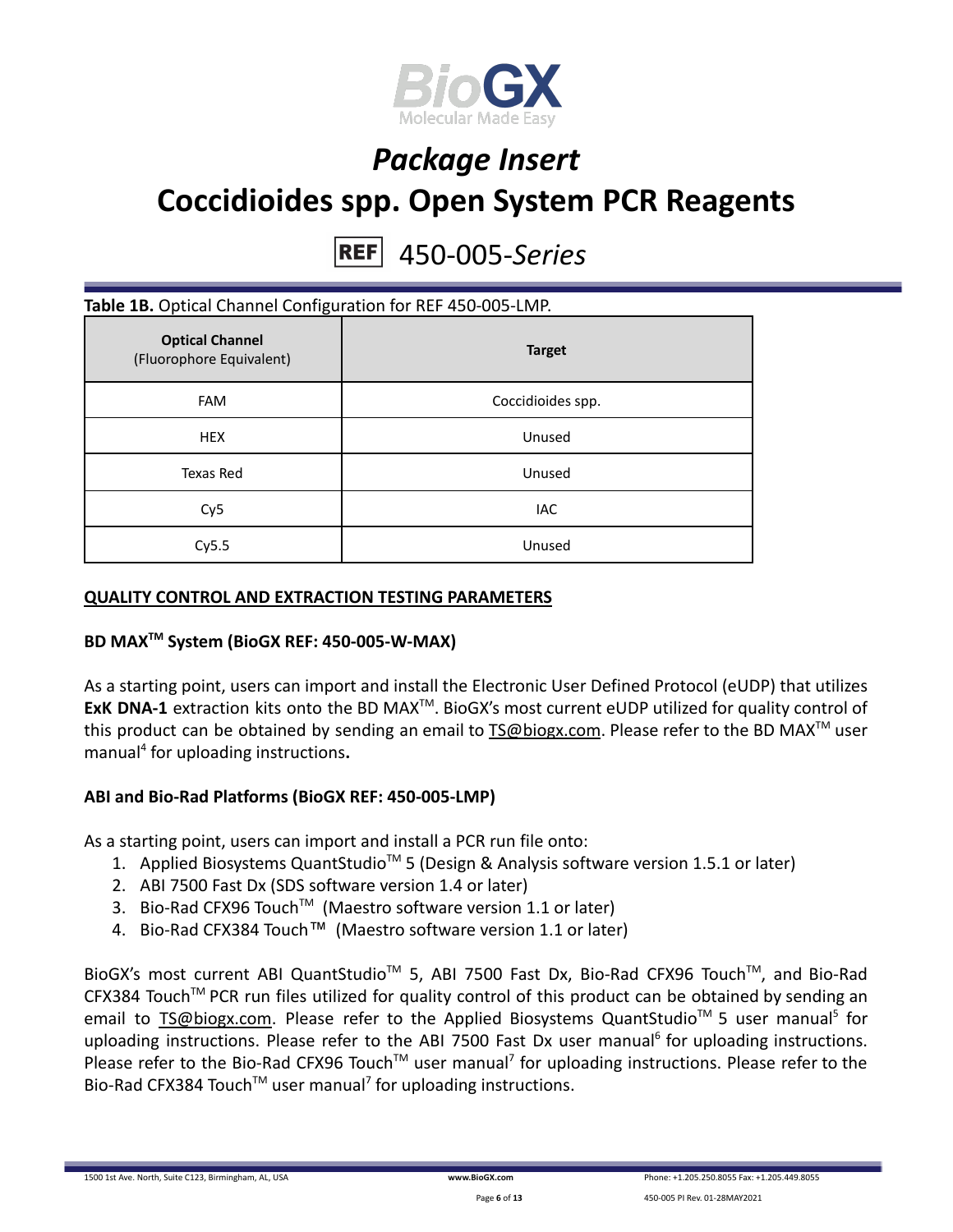

### 450-005-*Series* **REF**

### **Table 1B.** Optical Channel Configuration for REF 450-005-LMP.

| <b>Optical Channel</b><br>(Fluorophore Equivalent) | <b>Target</b>     |
|----------------------------------------------------|-------------------|
| <b>FAM</b>                                         | Coccidioides spp. |
| <b>HEX</b>                                         | Unused            |
| Texas Red                                          | Unused            |
| Cy <sub>5</sub>                                    | IAC               |
| Cy5.5                                              | Unused            |

### **QUALITY CONTROL AND EXTRACTION TESTING PARAMETERS**

## **BD MAXTM System (BioGX REF: 450-005-W-MAX)**

As a starting point, users can import and install the Electronic User Defined Protocol (eUDP) that utilizes ExK DNA-1 extraction kits onto the BD MAX<sup>™</sup>. BioGX's most current eUDP utilized for quality control of this product can be obtained by sending an email to [TS@biogx.com](mailto:TS@biogx.com). Please refer to the BD MAX<sup>TM</sup> user manual<sup>4</sup> for uploading instructions**.**

### **ABI and Bio-Rad Platforms (BioGX REF: 450-005-LMP)**

As a starting point, users can import and install a PCR run file onto:

- 1. Applied Biosystems QuantStudio<sup>™</sup> 5 (Design & Analysis software version 1.5.1 or later)
- 2. ABI 7500 Fast Dx (SDS software version 1.4 or later)
- 3. Bio-Rad CFX96 Touch<sup>™</sup> (Maestro software version 1.1 or later)
- 4. Bio-Rad CFX384 Touch™ (Maestro software version 1.1 or later)

BioGX's most current ABI QuantStudio<sup>™</sup> 5, ABI 7500 Fast Dx, Bio-Rad CFX96 Touch™, and Bio-Rad CFX384 Touch™ PCR run files utilized for quality control of this product can be obtained by sending an email to [TS@biogx.com.](mailto:TS@biogx.com) Please refer to the Applied Biosystems QuantStudio<sup>™</sup> 5 user manual<sup>5</sup> for uploading instructions. Please refer to the ABI 7500 Fast Dx user manual<sup>6</sup> for uploading instructions. Please refer to the Bio-Rad CFX96 Touch<sup>™</sup> user manual<sup>7</sup> for uploading instructions. Please refer to the Bio-Rad CFX384 Touch<sup>™</sup> user manual<sup>7</sup> for uploading instructions.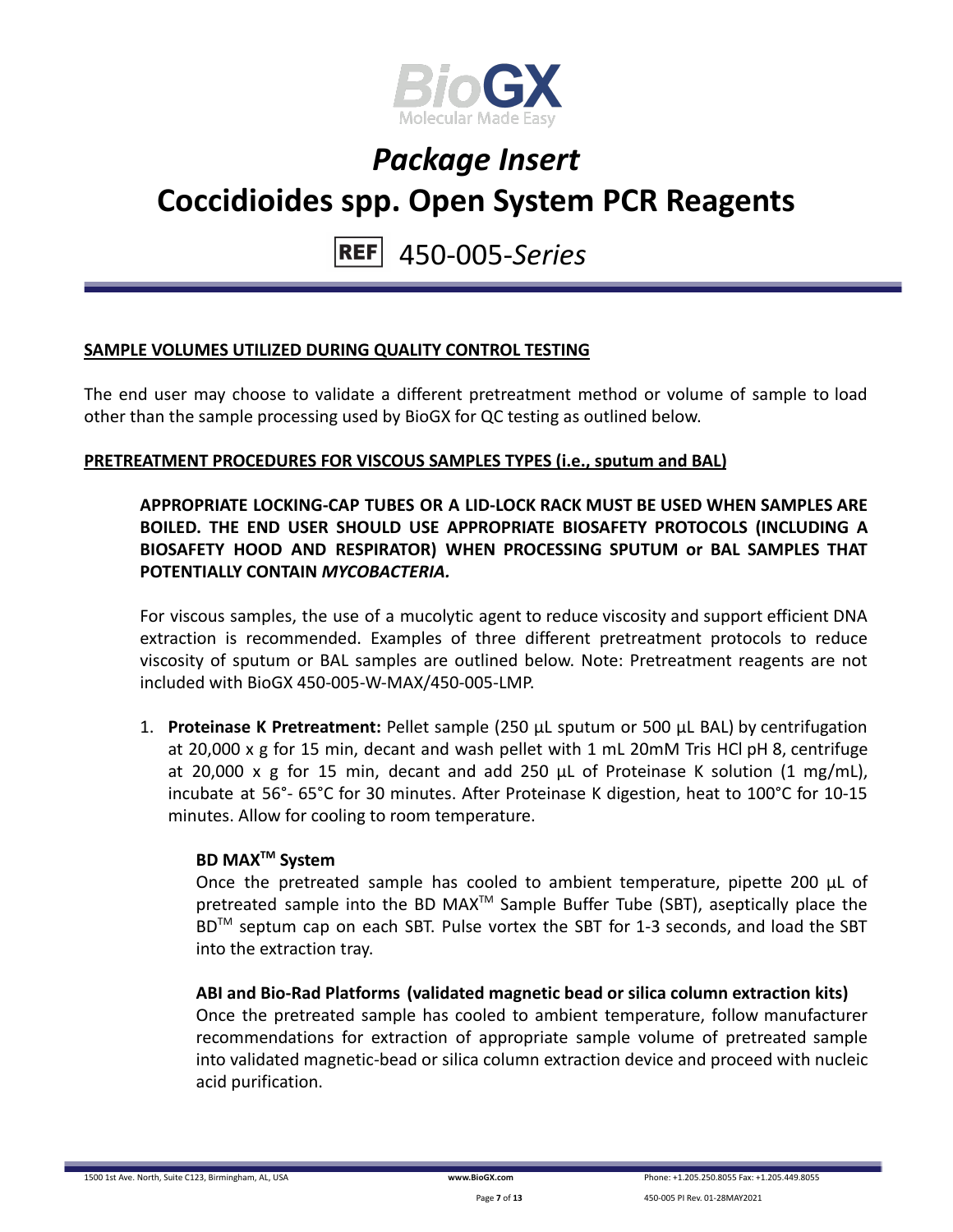

## 450-005-*Series*

## **SAMPLE VOLUMES UTILIZED DURING QUALITY CONTROL TESTING**

The end user may choose to validate a different pretreatment method or volume of sample to load other than the sample processing used by BioGX for QC testing as outlined below.

### **PRETREATMENT PROCEDURES FOR VISCOUS SAMPLES TYPES (i.e., sputum and BAL)**

### **APPROPRIATE LOCKING-CAP TUBES OR A LID-LOCK RACK MUST BE USED WHEN SAMPLES ARE BOILED. THE END USER SHOULD USE APPROPRIATE BIOSAFETY PROTOCOLS (INCLUDING A BIOSAFETY HOOD AND RESPIRATOR) WHEN PROCESSING SPUTUM or BAL SAMPLES THAT POTENTIALLY CONTAIN** *MYCOBACTERIA.*

For viscous samples, the use of a mucolytic agent to reduce viscosity and support efficient DNA extraction is recommended. Examples of three different pretreatment protocols to reduce viscosity of sputum or BAL samples are outlined below. Note: Pretreatment reagents are not included with BioGX 450-005-W-MAX/450-005-LMP.

1. **Proteinase K Pretreatment:** Pellet sample (250 μL sputum or 500 μL BAL) by centrifugation at 20,000 x g for 15 min, decant and wash pellet with 1 mL 20mM Tris HCl pH 8, centrifuge at 20,000 x g for 15 min, decant and add 250 μL of Proteinase K solution (1 mg/mL), incubate at 56°- 65°C for 30 minutes. After Proteinase K digestion, heat to 100°C for 10-15 minutes. Allow for cooling to room temperature.

### **BD MAXTM System**

Once the pretreated sample has cooled to ambient temperature, pipette 200 μL of pretreated sample into the BD MAX<sup>™</sup> Sample Buffer Tube (SBT), aseptically place the BD<sup>™</sup> septum cap on each SBT. Pulse vortex the SBT for 1-3 seconds, and load the SBT into the extraction tray.

**ABI and Bio-Rad Platforms (validated magnetic bead or silica column extraction kits)** Once the pretreated sample has cooled to ambient temperature, follow manufacturer recommendations for extraction of appropriate sample volume of pretreated sample into validated magnetic-bead or silica column extraction device and proceed with nucleic acid purification.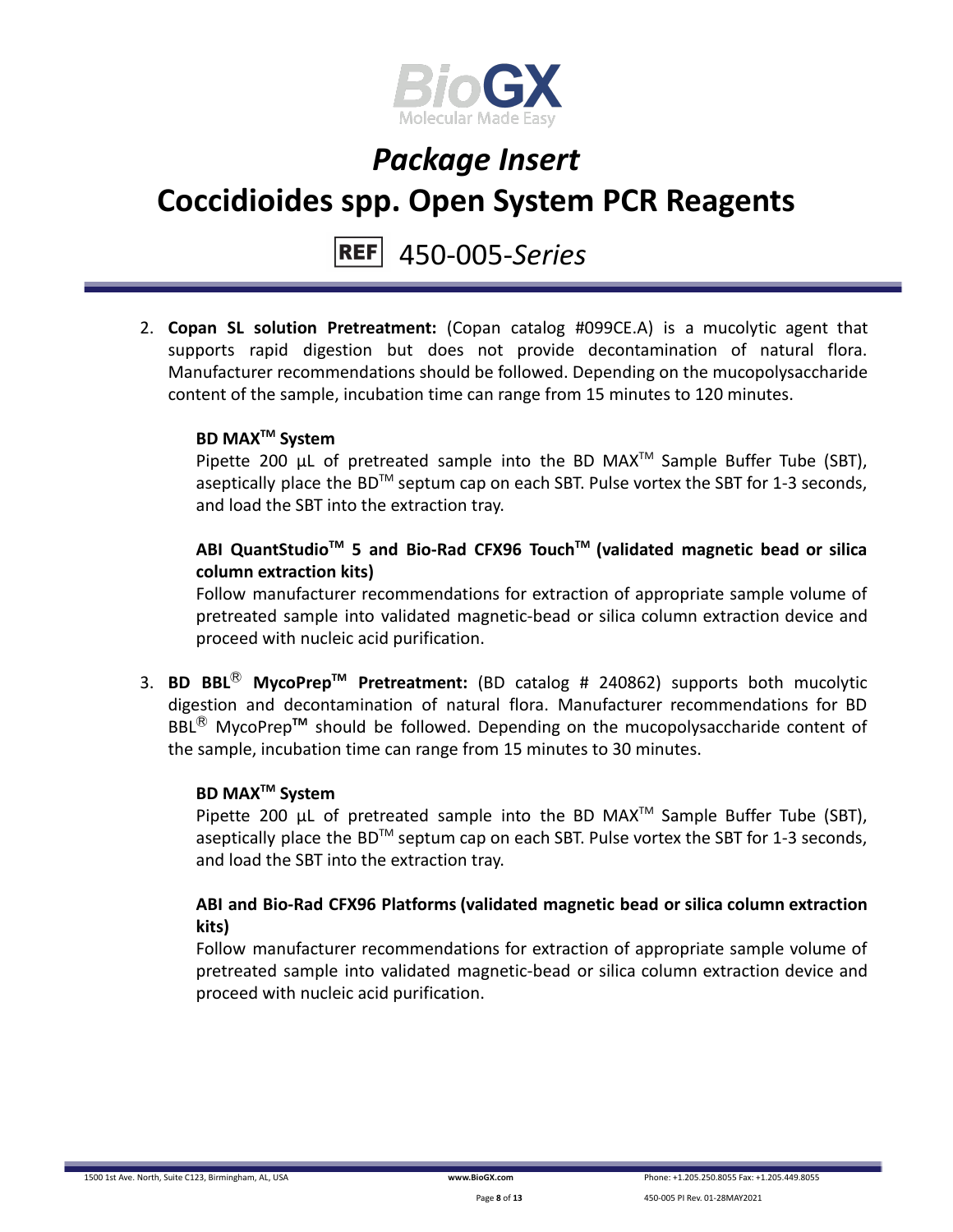

## 450-005-*Series*

2. **Copan SL solution Pretreatment:** (Copan catalog #099CE.A) is a mucolytic agent that supports rapid digestion but does not provide decontamination of natural flora. Manufacturer recommendations should be followed. Depending on the mucopolysaccharide content of the sample, incubation time can range from 15 minutes to 120 minutes.

## **BD MAXTM System**

Pipette 200  $\mu$ L of pretreated sample into the BD MAX<sup>TM</sup> Sample Buffer Tube (SBT), aseptically place the BD<sup>TM</sup> septum cap on each SBT. Pulse vortex the SBT for 1-3 seconds, and load the SBT into the extraction tray.

## **ABI QuantStudioTM 5 and Bio-Rad CFX96 TouchTM (validated magnetic bead or silica column extraction kits)**

Follow manufacturer recommendations for extraction of appropriate sample volume of pretreated sample into validated magnetic-bead or silica column extraction device and proceed with nucleic acid purification.

3. **BD BBL**Ⓡ **MycoPrepTM Pretreatment:** (BD catalog # 240862) supports both mucolytic digestion and decontamination of natural flora. Manufacturer recommendations for BD BBL<sup>®</sup> MycoPrep<sup>™</sup> should be followed. Depending on the mucopolysaccharide content of the sample, incubation time can range from 15 minutes to 30 minutes.

## **BD MAXTM System**

Pipette 200  $\mu$ L of pretreated sample into the BD MAX<sup>TM</sup> Sample Buffer Tube (SBT), aseptically place the BD<sup>TM</sup> septum cap on each SBT. Pulse vortex the SBT for 1-3 seconds, and load the SBT into the extraction tray.

## **ABI and Bio-Rad CFX96 Platforms (validated magnetic bead or silica column extraction kits)**

Follow manufacturer recommendations for extraction of appropriate sample volume of pretreated sample into validated magnetic-bead or silica column extraction device and proceed with nucleic acid purification.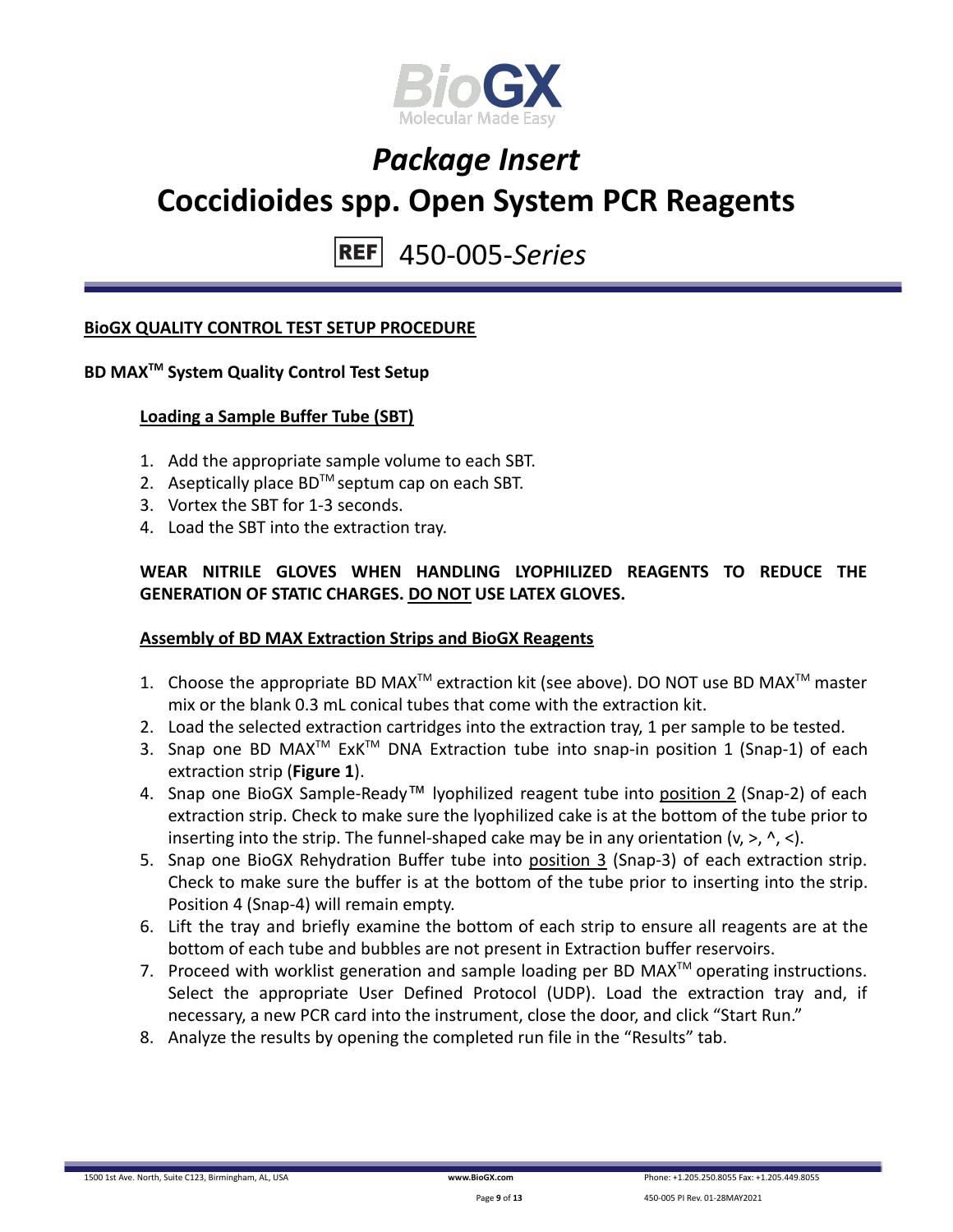

450-005-*Series*

### **BioGX QUALITY CONTROL TEST SETUP PROCEDURE**

## **BD MAXTM System Quality Control Test Setup**

### **Loading a Sample Buffer Tube (SBT)**

- 1. Add the appropriate sample volume to each SBT.
- 2. Aseptically place  $BD^{TM}$  septum cap on each SBT.
- 3. Vortex the SBT for 1-3 seconds.
- 4. Load the SBT into the extraction tray.

## **WEAR NITRILE GLOVES WHEN HANDLING LYOPHILIZED REAGENTS TO REDUCE THE GENERATION OF STATIC CHARGES. DO NOT USE LATEX GLOVES.**

### **Assembly of BD MAX Extraction Strips and BioGX Reagents**

- 1. Choose the appropriate BD MAX<sup>TM</sup> extraction kit (see above). DO NOT use BD MAX<sup>TM</sup> master mix or the blank 0.3 mL conical tubes that come with the extraction kit.
- 2. Load the selected extraction cartridges into the extraction tray, 1 per sample to be tested.
- 3. Snap one BD MAX<sup>™</sup> ExK<sup>™</sup> DNA Extraction tube into snap-in position 1 (Snap-1) of each extraction strip (**Figure 1**).
- 4. Snap one BioGX Sample-Ready™ lyophilized reagent tube into position 2 (Snap-2) of each extraction strip. Check to make sure the lyophilized cake is at the bottom of the tube prior to inserting into the strip. The funnel-shaped cake may be in any orientation  $(v, >, \land, <)$ .
- 5. Snap one BioGX Rehydration Buffer tube into position 3 (Snap-3) of each extraction strip. Check to make sure the buffer is at the bottom of the tube prior to inserting into the strip. Position 4 (Snap-4) will remain empty.
- 6. Lift the tray and briefly examine the bottom of each strip to ensure all reagents are at the bottom of each tube and bubbles are not present in Extraction buffer reservoirs.
- 7. Proceed with worklist generation and sample loading per BD MAX $^{TM}$  operating instructions. Select the appropriate User Defined Protocol (UDP). Load the extraction tray and, if necessary, a new PCR card into the instrument, close the door, and click "Start Run."
- 8. Analyze the results by opening the completed run file in the "Results" tab.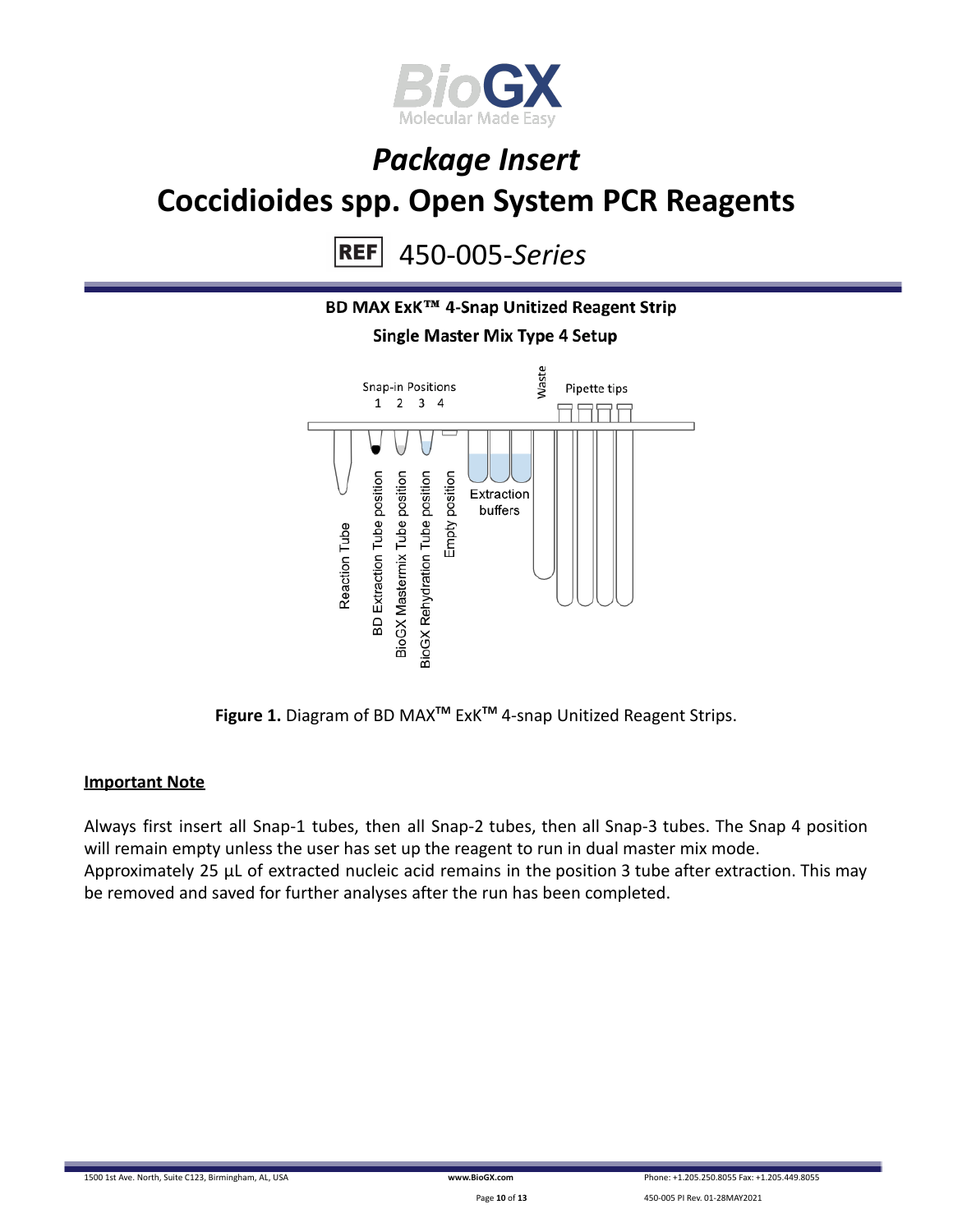

450-005-*Series* **REF** 



**Figure 1.** Diagram of BD MAX**TM** ExK**TM** 4-snap Unitized Reagent Strips.

### **Important Note**

Always first insert all Snap-1 tubes, then all Snap-2 tubes, then all Snap-3 tubes. The Snap 4 position will remain empty unless the user has set up the reagent to run in dual master mix mode. Approximately 25 µL of extracted nucleic acid remains in the position 3 tube after extraction. This may be removed and saved for further analyses after the run has been completed.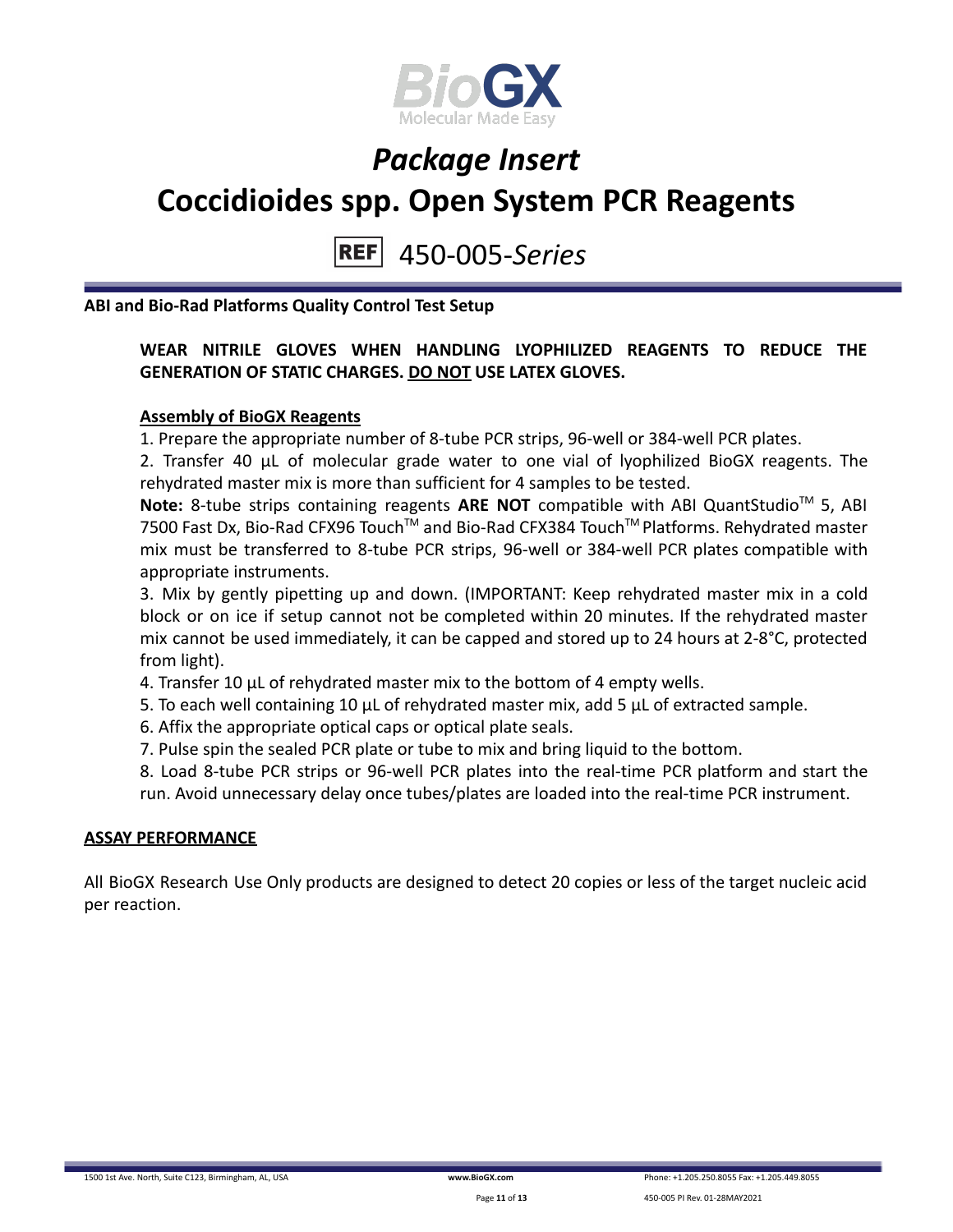

#### 450-005-*Series* **REF**

**ABI and Bio-Rad Platforms Quality Control Test Setup**

### **WEAR NITRILE GLOVES WHEN HANDLING LYOPHILIZED REAGENTS TO REDUCE THE GENERATION OF STATIC CHARGES. DO NOT USE LATEX GLOVES.**

### **Assembly of BioGX Reagents**

1. Prepare the appropriate number of 8-tube PCR strips, 96-well or 384-well PCR plates.

2. Transfer 40 μL of molecular grade water to one vial of lyophilized BioGX reagents. The rehydrated master mix is more than sufficient for 4 samples to be tested.

Note: 8-tube strips containing reagents ARE NOT compatible with ABI QuantStudio<sup>™</sup> 5, ABI 7500 Fast Dx, Bio-Rad CFX96 Touch™ and Bio-Rad CFX384 Touch™ Platforms. Rehydrated master mix must be transferred to 8-tube PCR strips, 96-well or 384-well PCR plates compatible with appropriate instruments.

3. Mix by gently pipetting up and down. (IMPORTANT: Keep rehydrated master mix in a cold block or on ice if setup cannot not be completed within 20 minutes. If the rehydrated master mix cannot be used immediately, it can be capped and stored up to 24 hours at 2-8°C, protected from light).

4. Transfer 10 μL of rehydrated master mix to the bottom of 4 empty wells.

5. To each well containing 10 μL of rehydrated master mix, add 5 μL of extracted sample.

6. Affix the appropriate optical caps or optical plate seals.

7. Pulse spin the sealed PCR plate or tube to mix and bring liquid to the bottom.

8. Load 8-tube PCR strips or 96-well PCR plates into the real-time PCR platform and start the run. Avoid unnecessary delay once tubes/plates are loaded into the real-time PCR instrument.

### **ASSAY PERFORMANCE**

All BioGX Research Use Only products are designed to detect 20 copies or less of the target nucleic acid per reaction.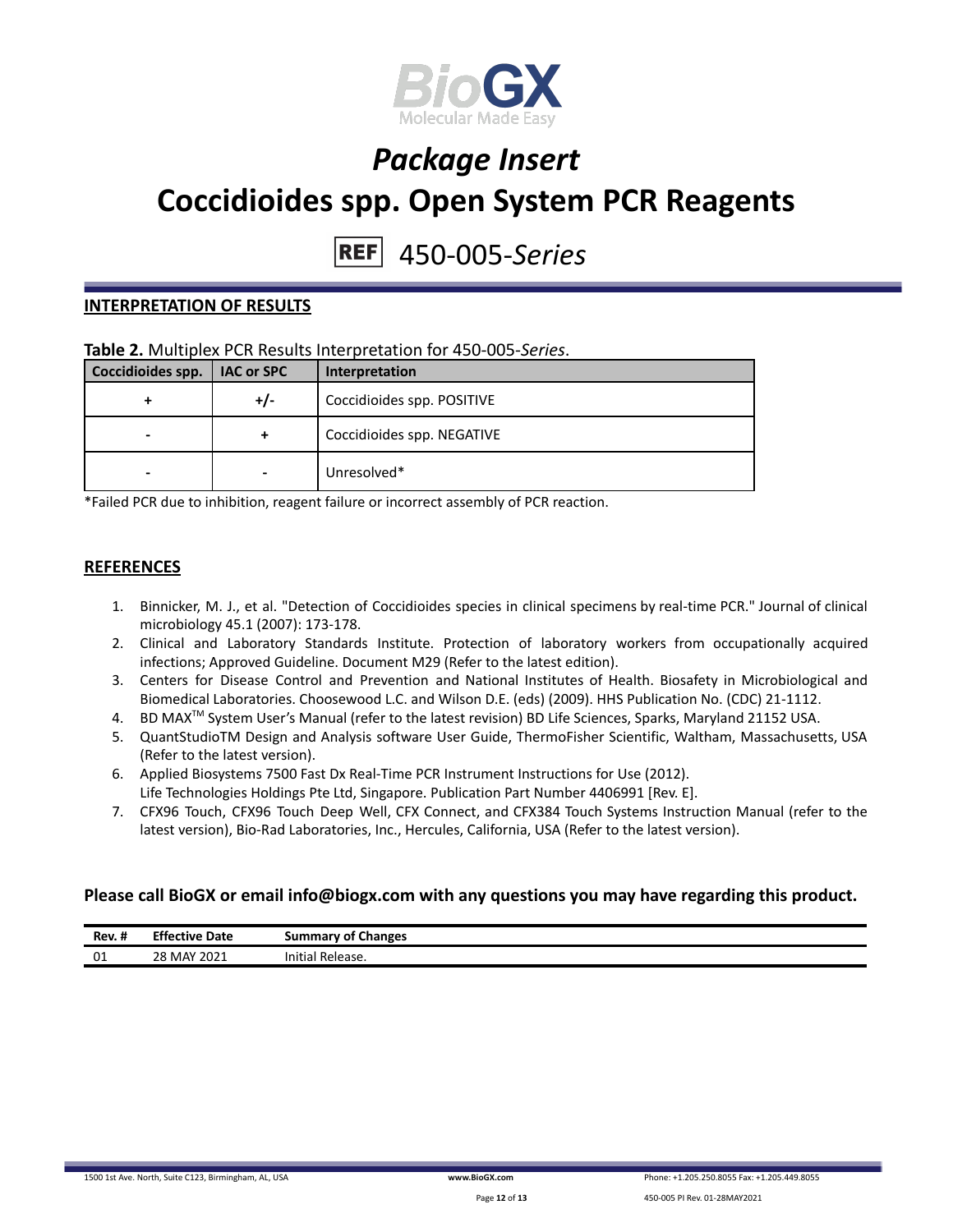

# 450-005-*Series*

#### **INTERPRETATION OF RESULTS**

### **Table 2.** Multiplex PCR Results Interpretation for 450-005-*Series*.

| Coccidioides spp. | <b>IAC or SPC</b> | Interpretation             |
|-------------------|-------------------|----------------------------|
|                   | $+/-$             | Coccidioides spp. POSITIVE |
| -                 | +                 | Coccidioides spp. NEGATIVE |
| -                 | $\blacksquare$    | Unresolved*                |

\*Failed PCR due to inhibition, reagent failure or incorrect assembly of PCR reaction.

#### **REFERENCES**

- 1. Binnicker, M. J., et al. "Detection of Coccidioides species in clinical specimens by real-time PCR." Journal of clinical microbiology 45.1 (2007): 173-178.
- 2. Clinical and Laboratory Standards Institute. Protection of laboratory workers from occupationally acquired infections; Approved Guideline. Document M29 (Refer to the latest edition).
- 3. Centers for Disease Control and Prevention and National Institutes of Health. Biosafety in Microbiological and Biomedical Laboratories. Choosewood L.C. and Wilson D.E. (eds) (2009). HHS Publication No. (CDC) 21-1112.
- 4. BD MAX<sup>™</sup> System User's Manual (refer to the latest revision) BD Life Sciences, Sparks, Maryland 21152 USA.
- 5. QuantStudioTM Design and Analysis software User Guide, ThermoFisher Scientific, Waltham, Massachusetts, USA (Refer to the latest version).
- 6. Applied Biosystems 7500 Fast Dx Real-Time PCR Instrument Instructions for Use (2012). Life Technologies Holdings Pte Ltd, Singapore. Publication Part Number 4406991 [Rev. E].
- 7. CFX96 Touch, CFX96 Touch Deep Well, CFX Connect, and CFX384 Touch Systems Instruction Manual (refer to the latest version), Bio-Rad Laboratories, Inc., Hercules, California, USA (Refer to the latest version).

### **Please call BioGX or email info@biogx.com with any questions you may have regarding this product.**

| $\cdot$ .<br>Rev. t | - - -<br>Date<br>Ettective | <b>Summary of Changes</b>       |  |
|---------------------|----------------------------|---------------------------------|--|
| 01                  | 28 MAY 2021                | $\cdots$<br>Initial<br>Release. |  |